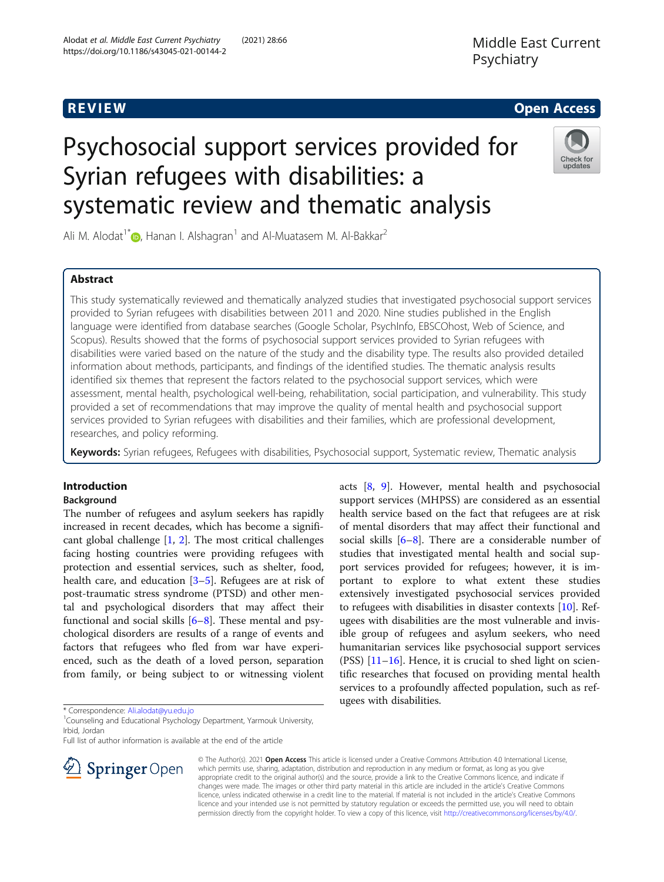# Middle East Current Psychiatry

## R EVI EW Open Access

# Psychosocial support services provided for Syrian refugees with disabilities: a systematic review and thematic analysis



Ali M. Alodat<sup>1[\\*](http://orcid.org/0000-0003-1278-1257)</sup>  $\bullet$ , Hanan I. Alshagran<sup>1</sup> and Al-Muatasem M. Al-Bakkar<sup>2</sup>

### Abstract

This study systematically reviewed and thematically analyzed studies that investigated psychosocial support services provided to Syrian refugees with disabilities between 2011 and 2020. Nine studies published in the English language were identified from database searches (Google Scholar, PsychInfo, EBSCOhost, Web of Science, and Scopus). Results showed that the forms of psychosocial support services provided to Syrian refugees with disabilities were varied based on the nature of the study and the disability type. The results also provided detailed information about methods, participants, and findings of the identified studies. The thematic analysis results identified six themes that represent the factors related to the psychosocial support services, which were assessment, mental health, psychological well-being, rehabilitation, social participation, and vulnerability. This study provided a set of recommendations that may improve the quality of mental health and psychosocial support services provided to Syrian refugees with disabilities and their families, which are professional development, researches, and policy reforming.

Keywords: Syrian refugees, Refugees with disabilities, Psychosocial support, Systematic review, Thematic analysis

#### Introduction

#### Background

The number of refugees and asylum seekers has rapidly increased in recent decades, which has become a significant global challenge [\[1,](#page-9-0) [2](#page-9-0)]. The most critical challenges facing hosting countries were providing refugees with protection and essential services, such as shelter, food, health care, and education [\[3](#page-9-0)–[5\]](#page-9-0). Refugees are at risk of post-traumatic stress syndrome (PTSD) and other mental and psychological disorders that may affect their functional and social skills  $[6-8]$  $[6-8]$  $[6-8]$  $[6-8]$ . These mental and psychological disorders are results of a range of events and factors that refugees who fled from war have experienced, such as the death of a loved person, separation from family, or being subject to or witnessing violent

\* Correspondence: [Ali.alodat@yu.edu.jo](mailto:Ali.alodat@yu.edu.jo) <sup>1</sup>

<sup>1</sup> Counseling and Educational Psychology Department, Yarmouk University, Irbid, Jordan

Full list of author information is available at the end of the article



acts [\[8](#page-10-0), [9\]](#page-10-0). However, mental health and psychosocial support services (MHPSS) are considered as an essential health service based on the fact that refugees are at risk of mental disorders that may affect their functional and social skills  $[6-8]$  $[6-8]$  $[6-8]$  $[6-8]$ . There are a considerable number of studies that investigated mental health and social support services provided for refugees; however, it is important to explore to what extent these studies extensively investigated psychosocial services provided to refugees with disabilities in disaster contexts [[10\]](#page-10-0). Refugees with disabilities are the most vulnerable and invisible group of refugees and asylum seekers, who need humanitarian services like psychosocial support services (PSS) [[11](#page-10-0)–[16](#page-10-0)]. Hence, it is crucial to shed light on scientific researches that focused on providing mental health services to a profoundly affected population, such as refugees with disabilities.

© The Author(s). 2021 Open Access This article is licensed under a Creative Commons Attribution 4.0 International License, which permits use, sharing, adaptation, distribution and reproduction in any medium or format, as long as you give appropriate credit to the original author(s) and the source, provide a link to the Creative Commons licence, and indicate if changes were made. The images or other third party material in this article are included in the article's Creative Commons licence, unless indicated otherwise in a credit line to the material. If material is not included in the article's Creative Commons licence and your intended use is not permitted by statutory regulation or exceeds the permitted use, you will need to obtain permission directly from the copyright holder. To view a copy of this licence, visit <http://creativecommons.org/licenses/by/4.0/>.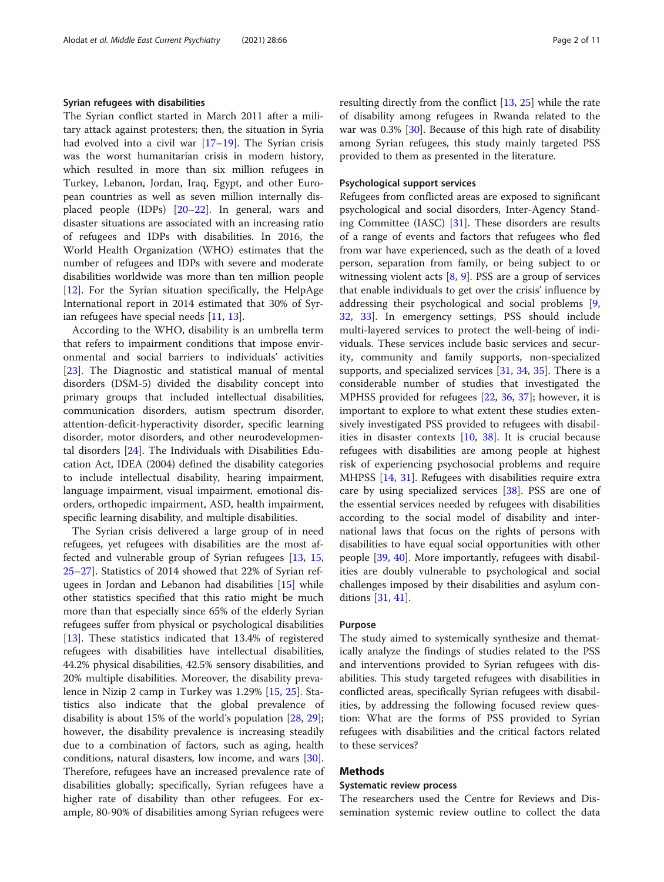#### Syrian refugees with disabilities

The Syrian conflict started in March 2011 after a military attack against protesters; then, the situation in Syria had evolved into a civil war  $[17–19]$  $[17–19]$  $[17–19]$ . The Syrian crisis was the worst humanitarian crisis in modern history, which resulted in more than six million refugees in Turkey, Lebanon, Jordan, Iraq, Egypt, and other European countries as well as seven million internally displaced people (IDPs) [[20](#page-10-0)–[22\]](#page-10-0). In general, wars and disaster situations are associated with an increasing ratio of refugees and IDPs with disabilities. In 2016, the World Health Organization (WHO) estimates that the number of refugees and IDPs with severe and moderate disabilities worldwide was more than ten million people [[12\]](#page-10-0). For the Syrian situation specifically, the HelpAge International report in 2014 estimated that 30% of Syrian refugees have special needs [[11](#page-10-0), [13](#page-10-0)].

According to the WHO, disability is an umbrella term that refers to impairment conditions that impose environmental and social barriers to individuals' activities [[23\]](#page-10-0). The Diagnostic and statistical manual of mental disorders (DSM-5) divided the disability concept into primary groups that included intellectual disabilities, communication disorders, autism spectrum disorder, attention-deficit-hyperactivity disorder, specific learning disorder, motor disorders, and other neurodevelopmental disorders [[24](#page-10-0)]. The Individuals with Disabilities Education Act, IDEA (2004) defined the disability categories to include intellectual disability, hearing impairment, language impairment, visual impairment, emotional disorders, orthopedic impairment, ASD, health impairment, specific learning disability, and multiple disabilities.

The Syrian crisis delivered a large group of in need refugees, yet refugees with disabilities are the most affected and vulnerable group of Syrian refugees [\[13](#page-10-0), [15](#page-10-0), [25](#page-10-0)–[27](#page-10-0)]. Statistics of 2014 showed that 22% of Syrian refugees in Jordan and Lebanon had disabilities [\[15\]](#page-10-0) while other statistics specified that this ratio might be much more than that especially since 65% of the elderly Syrian refugees suffer from physical or psychological disabilities [[13\]](#page-10-0). These statistics indicated that 13.4% of registered refugees with disabilities have intellectual disabilities, 44.2% physical disabilities, 42.5% sensory disabilities, and 20% multiple disabilities. Moreover, the disability prevalence in Nizip 2 camp in Turkey was 1.29% [\[15](#page-10-0), [25](#page-10-0)]. Statistics also indicate that the global prevalence of disability is about 15% of the world's population [\[28](#page-10-0), [29](#page-10-0)]; however, the disability prevalence is increasing steadily due to a combination of factors, such as aging, health conditions, natural disasters, low income, and wars [\[30](#page-10-0)]. Therefore, refugees have an increased prevalence rate of disabilities globally; specifically, Syrian refugees have a higher rate of disability than other refugees. For example, 80-90% of disabilities among Syrian refugees were resulting directly from the conflict [[13,](#page-10-0) [25](#page-10-0)] while the rate of disability among refugees in Rwanda related to the war was 0.3% [[30\]](#page-10-0). Because of this high rate of disability among Syrian refugees, this study mainly targeted PSS provided to them as presented in the literature.

#### Psychological support services

Refugees from conflicted areas are exposed to significant psychological and social disorders, Inter-Agency Standing Committee (IASC) [[31](#page-10-0)]. These disorders are results of a range of events and factors that refugees who fled from war have experienced, such as the death of a loved person, separation from family, or being subject to or witnessing violent acts [\[8](#page-10-0), [9\]](#page-10-0). PSS are a group of services that enable individuals to get over the crisis' influence by addressing their psychological and social problems [\[9](#page-10-0), [32,](#page-10-0) [33](#page-10-0)]. In emergency settings, PSS should include multi-layered services to protect the well-being of individuals. These services include basic services and security, community and family supports, non-specialized supports, and specialized services [\[31](#page-10-0), [34](#page-10-0), [35\]](#page-10-0). There is a considerable number of studies that investigated the MPHSS provided for refugees [\[22](#page-10-0), [36,](#page-10-0) [37\]](#page-10-0); however, it is important to explore to what extent these studies extensively investigated PSS provided to refugees with disabilities in disaster contexts [\[10](#page-10-0), [38\]](#page-10-0). It is crucial because refugees with disabilities are among people at highest risk of experiencing psychosocial problems and require MHPSS [[14,](#page-10-0) [31](#page-10-0)]. Refugees with disabilities require extra care by using specialized services [\[38](#page-10-0)]. PSS are one of the essential services needed by refugees with disabilities according to the social model of disability and international laws that focus on the rights of persons with disabilities to have equal social opportunities with other people [\[39,](#page-10-0) [40](#page-10-0)]. More importantly, refugees with disabilities are doubly vulnerable to psychological and social challenges imposed by their disabilities and asylum conditions [[31](#page-10-0), [41](#page-10-0)].

#### Purpose

The study aimed to systemically synthesize and thematically analyze the findings of studies related to the PSS and interventions provided to Syrian refugees with disabilities. This study targeted refugees with disabilities in conflicted areas, specifically Syrian refugees with disabilities, by addressing the following focused review question: What are the forms of PSS provided to Syrian refugees with disabilities and the critical factors related to these services?

#### Methods

#### Systematic review process

The researchers used the Centre for Reviews and Dissemination systemic review outline to collect the data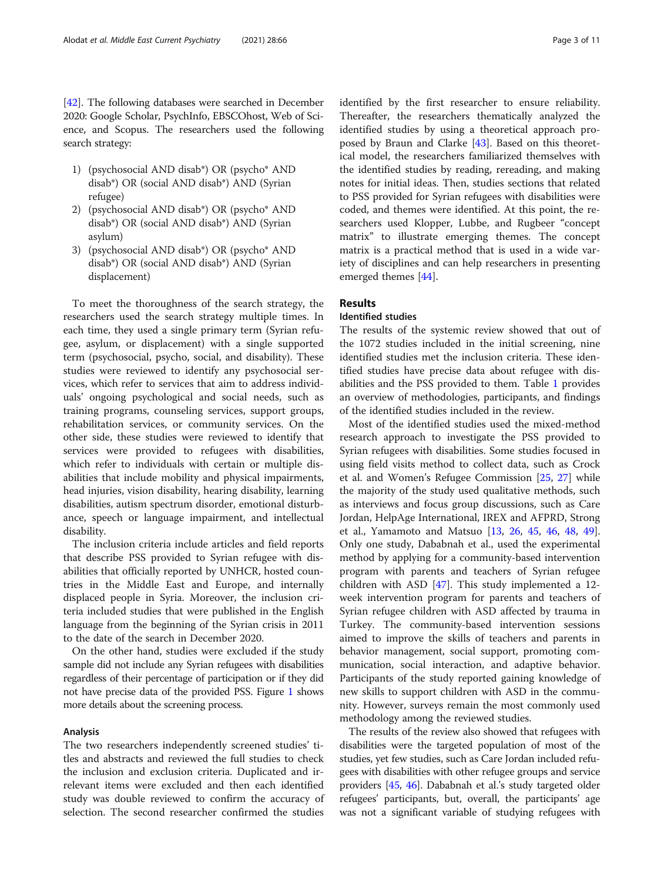[[42\]](#page-10-0). The following databases were searched in December 2020: Google Scholar, PsychInfo, EBSCOhost, Web of Science, and Scopus. The researchers used the following search strategy:

- 1) (psychosocial AND disab\*) OR (psycho\* AND disab\*) OR (social AND disab\*) AND (Syrian refugee)
- 2) (psychosocial AND disab\*) OR (psycho\* AND disab\*) OR (social AND disab\*) AND (Syrian asylum)
- 3) (psychosocial AND disab\*) OR (psycho\* AND disab\*) OR (social AND disab\*) AND (Syrian displacement)

To meet the thoroughness of the search strategy, the researchers used the search strategy multiple times. In each time, they used a single primary term (Syrian refugee, asylum, or displacement) with a single supported term (psychosocial, psycho, social, and disability). These studies were reviewed to identify any psychosocial services, which refer to services that aim to address individuals' ongoing psychological and social needs, such as training programs, counseling services, support groups, rehabilitation services, or community services. On the other side, these studies were reviewed to identify that services were provided to refugees with disabilities, which refer to individuals with certain or multiple disabilities that include mobility and physical impairments, head injuries, vision disability, hearing disability, learning disabilities, autism spectrum disorder, emotional disturbance, speech or language impairment, and intellectual disability.

The inclusion criteria include articles and field reports that describe PSS provided to Syrian refugee with disabilities that officially reported by UNHCR, hosted countries in the Middle East and Europe, and internally displaced people in Syria. Moreover, the inclusion criteria included studies that were published in the English language from the beginning of the Syrian crisis in 2011 to the date of the search in December 2020.

On the other hand, studies were excluded if the study sample did not include any Syrian refugees with disabilities regardless of their percentage of participation or if they did not have precise data of the provided PSS. Figure [1](#page-3-0) shows more details about the screening process.

#### Analysis

The two researchers independently screened studies' titles and abstracts and reviewed the full studies to check the inclusion and exclusion criteria. Duplicated and irrelevant items were excluded and then each identified study was double reviewed to confirm the accuracy of selection. The second researcher confirmed the studies identified by the first researcher to ensure reliability. Thereafter, the researchers thematically analyzed the identified studies by using a theoretical approach proposed by Braun and Clarke [\[43](#page-10-0)]. Based on this theoretical model, the researchers familiarized themselves with the identified studies by reading, rereading, and making notes for initial ideas. Then, studies sections that related to PSS provided for Syrian refugees with disabilities were coded, and themes were identified. At this point, the researchers used Klopper, Lubbe, and Rugbeer "concept matrix" to illustrate emerging themes. The concept matrix is a practical method that is used in a wide variety of disciplines and can help researchers in presenting emerged themes [[44\]](#page-10-0).

#### Results

#### Identified studies

The results of the systemic review showed that out of the 1072 studies included in the initial screening, nine identified studies met the inclusion criteria. These identified studies have precise data about refugee with disabilities and the PSS provided to them. Table [1](#page-4-0) provides an overview of methodologies, participants, and findings of the identified studies included in the review.

Most of the identified studies used the mixed-method research approach to investigate the PSS provided to Syrian refugees with disabilities. Some studies focused in using field visits method to collect data, such as Crock et al. and Women's Refugee Commission [\[25](#page-10-0), [27\]](#page-10-0) while the majority of the study used qualitative methods, such as interviews and focus group discussions, such as Care Jordan, HelpAge International, IREX and AFPRD, Strong et al., Yamamoto and Matsuo [\[13](#page-10-0), [26,](#page-10-0) [45](#page-10-0), [46](#page-10-0), [48,](#page-10-0) [49](#page-10-0)]. Only one study, Dababnah et al., used the experimental method by applying for a community-based intervention program with parents and teachers of Syrian refugee children with ASD  $[47]$  $[47]$ . This study implemented a 12week intervention program for parents and teachers of Syrian refugee children with ASD affected by trauma in Turkey. The community-based intervention sessions aimed to improve the skills of teachers and parents in behavior management, social support, promoting communication, social interaction, and adaptive behavior. Participants of the study reported gaining knowledge of new skills to support children with ASD in the community. However, surveys remain the most commonly used methodology among the reviewed studies.

The results of the review also showed that refugees with disabilities were the targeted population of most of the studies, yet few studies, such as Care Jordan included refugees with disabilities with other refugee groups and service providers [[45,](#page-10-0) [46](#page-10-0)]. Dababnah et al.'s study targeted older refugees' participants, but, overall, the participants' age was not a significant variable of studying refugees with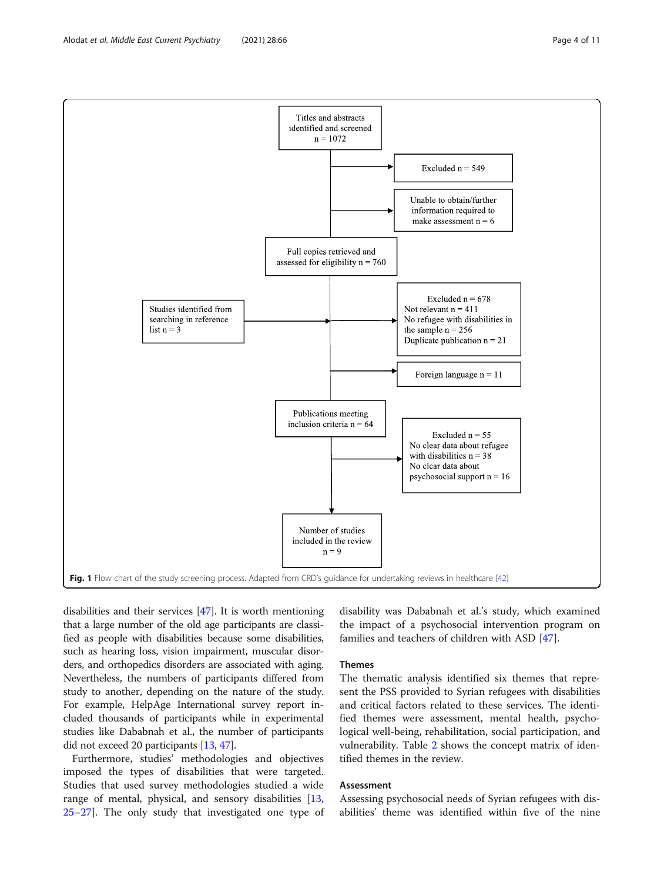disabilities and their services [[47](#page-10-0)]. It is worth mentioning that a large number of the old age participants are classified as people with disabilities because some disabilities, such as hearing loss, vision impairment, muscular disorders, and orthopedics disorders are associated with aging. Nevertheless, the numbers of participants differed from study to another, depending on the nature of the study. For example, HelpAge International survey report included thousands of participants while in experimental studies like Dababnah et al., the number of participants did not exceed 20 participants [[13](#page-10-0), [47\]](#page-10-0).

Furthermore, studies' methodologies and objectives imposed the types of disabilities that were targeted. Studies that used survey methodologies studied a wide range of mental, physical, and sensory disabilities [[13](#page-10-0), [25](#page-10-0)–[27](#page-10-0)]. The only study that investigated one type of disability was Dababnah et al.'s study, which examined the impact of a psychosocial intervention program on families and teachers of children with ASD [[47\]](#page-10-0).

#### Themes

The thematic analysis identified six themes that represent the PSS provided to Syrian refugees with disabilities and critical factors related to these services. The identified themes were assessment, mental health, psychological well-being, rehabilitation, social participation, and vulnerability. Table [2](#page-5-0) shows the concept matrix of identified themes in the review.

#### Assessment

Assessing psychosocial needs of Syrian refugees with disabilities' theme was identified within five of the nine

<span id="page-3-0"></span>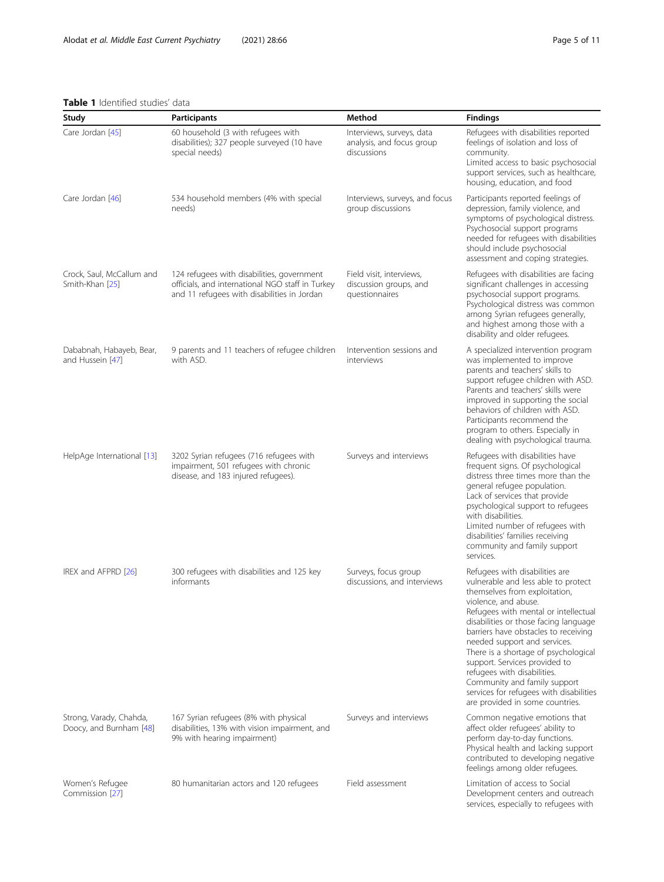#### <span id="page-4-0"></span>Table 1 Identified studies' data

| Study                                              | <b>Participants</b>                                                                                                                           | Method                                                                | <b>Findings</b>                                                                                                                                                                                                                                                                                                                                                                                                                                                                                               |
|----------------------------------------------------|-----------------------------------------------------------------------------------------------------------------------------------------------|-----------------------------------------------------------------------|---------------------------------------------------------------------------------------------------------------------------------------------------------------------------------------------------------------------------------------------------------------------------------------------------------------------------------------------------------------------------------------------------------------------------------------------------------------------------------------------------------------|
| Care Jordan [45]                                   | 60 household (3 with refugees with<br>disabilities); 327 people surveyed (10 have<br>special needs)                                           | Interviews, surveys, data<br>analysis, and focus group<br>discussions | Refugees with disabilities reported<br>feelings of isolation and loss of<br>community.<br>Limited access to basic psychosocial<br>support services, such as healthcare,<br>housing, education, and food                                                                                                                                                                                                                                                                                                       |
| Care Jordan [46]                                   | 534 household members (4% with special<br>needs)                                                                                              | Interviews, surveys, and focus<br>group discussions                   | Participants reported feelings of<br>depression, family violence, and<br>symptoms of psychological distress.<br>Psychosocial support programs<br>needed for refugees with disabilities<br>should include psychosocial<br>assessment and coping strategies.                                                                                                                                                                                                                                                    |
| Crock, Saul, McCallum and<br>Smith-Khan [25]       | 124 refugees with disabilities, government<br>officials, and international NGO staff in Turkey<br>and 11 refugees with disabilities in Jordan | Field visit, interviews,<br>discussion groups, and<br>questionnaires  | Refugees with disabilities are facing<br>significant challenges in accessing<br>psychosocial support programs.<br>Psychological distress was common<br>among Syrian refugees generally,<br>and highest among those with a<br>disability and older refugees.                                                                                                                                                                                                                                                   |
| Dababnah, Habayeb, Bear,<br>and Hussein [47]       | 9 parents and 11 teachers of refugee children<br>with ASD.                                                                                    | Intervention sessions and<br>interviews                               | A specialized intervention program<br>was implemented to improve<br>parents and teachers' skills to<br>support refugee children with ASD.<br>Parents and teachers' skills were<br>improved in supporting the social<br>behaviors of children with ASD.<br>Participants recommend the<br>program to others. Especially in<br>dealing with psychological trauma.                                                                                                                                                |
| HelpAge International [13]                         | 3202 Syrian refugees (716 refugees with<br>impairment, 501 refugees with chronic<br>disease, and 183 injured refugees).                       | Surveys and interviews                                                | Refugees with disabilities have<br>frequent signs. Of psychological<br>distress three times more than the<br>general refugee population.<br>Lack of services that provide<br>psychological support to refugees<br>with disabilities.<br>Limited number of refugees with<br>disabilities' families receiving<br>community and family support<br>services.                                                                                                                                                      |
| IREX and AFPRD [26]                                | 300 refugees with disabilities and 125 key<br>informants                                                                                      | Surveys, focus group<br>discussions, and interviews                   | Refugees with disabilities are<br>vulnerable and less able to protect<br>themselves from exploitation,<br>violence, and abuse.<br>Refugees with mental or intellectual<br>disabilities or those facing language<br>barriers have obstacles to receiving<br>needed support and services.<br>There is a shortage of psychological<br>support. Services provided to<br>refugees with disabilities.<br>Community and family support<br>services for refugees with disabilities<br>are provided in some countries. |
| Strong, Varady, Chahda,<br>Doocy, and Burnham [48] | 167 Syrian refugees (8% with physical<br>disabilities, 13% with vision impairment, and<br>9% with hearing impairment)                         | Surveys and interviews                                                | Common negative emotions that<br>affect older refugees' ability to<br>perform day-to-day functions.<br>Physical health and lacking support<br>contributed to developing negative<br>feelings among older refugees.                                                                                                                                                                                                                                                                                            |
| Women's Refugee<br>Commission [27]                 | 80 humanitarian actors and 120 refugees                                                                                                       | Field assessment                                                      | Limitation of access to Social<br>Development centers and outreach<br>services, especially to refugees with                                                                                                                                                                                                                                                                                                                                                                                                   |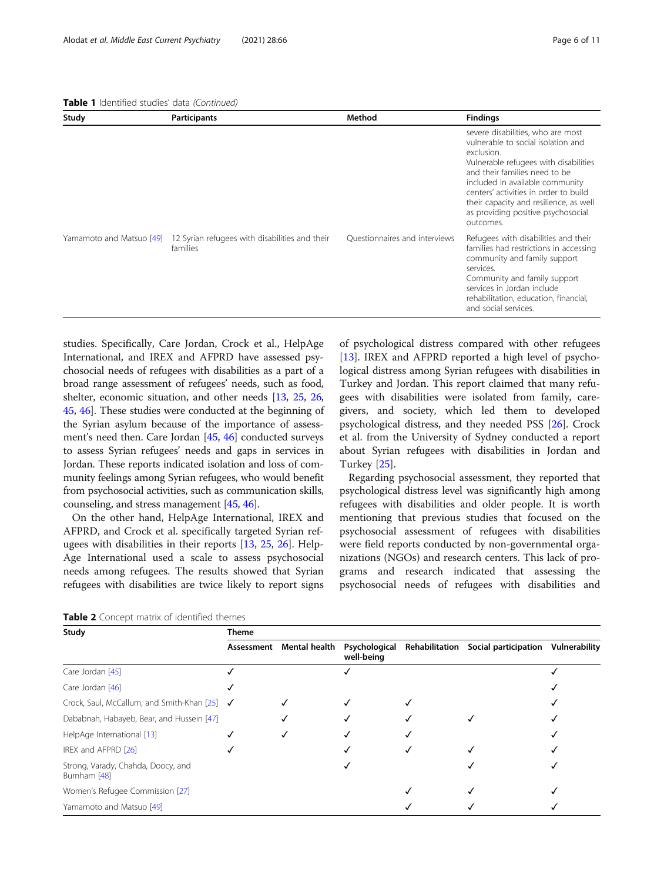<span id="page-5-0"></span>Table 1 Identified studies' data (Continued)

| Study | <b>Participants</b>                                                                 | Method                        | <b>Findings</b>                                                                                                                                                                                                                                                                                                                          |
|-------|-------------------------------------------------------------------------------------|-------------------------------|------------------------------------------------------------------------------------------------------------------------------------------------------------------------------------------------------------------------------------------------------------------------------------------------------------------------------------------|
|       |                                                                                     |                               | severe disabilities, who are most<br>vulnerable to social isolation and<br>exclusion.<br>Vulnerable refugees with disabilities<br>and their families need to be<br>included in available community<br>centers' activities in order to build<br>their capacity and resilience, as well<br>as providing positive psychosocial<br>outcomes. |
|       | Yamamoto and Matsuo [49] 12 Syrian refugees with disabilities and their<br>families | Ouestionnaires and interviews | Refugees with disabilities and their<br>families had restrictions in accessing<br>community and family support<br>services.<br>Community and family support<br>services in Jordan include<br>rehabilitation, education, financial,<br>and social services.                                                                               |

studies. Specifically, Care Jordan, Crock et al., HelpAge International, and IREX and AFPRD have assessed psychosocial needs of refugees with disabilities as a part of a broad range assessment of refugees' needs, such as food, shelter, economic situation, and other needs [\[13,](#page-10-0) [25,](#page-10-0) [26](#page-10-0), [45](#page-10-0), [46](#page-10-0)]. These studies were conducted at the beginning of the Syrian asylum because of the importance of assessment's need then. Care Jordan [[45](#page-10-0), [46](#page-10-0)] conducted surveys to assess Syrian refugees' needs and gaps in services in Jordan. These reports indicated isolation and loss of community feelings among Syrian refugees, who would benefit from psychosocial activities, such as communication skills, counseling, and stress management [[45](#page-10-0), [46\]](#page-10-0).

On the other hand, HelpAge International, IREX and AFPRD, and Crock et al. specifically targeted Syrian refugees with disabilities in their reports [\[13](#page-10-0), [25](#page-10-0), [26\]](#page-10-0). Help-Age International used a scale to assess psychosocial needs among refugees. The results showed that Syrian refugees with disabilities are twice likely to report signs

of psychological distress compared with other refugees [[13\]](#page-10-0). IREX and AFPRD reported a high level of psychological distress among Syrian refugees with disabilities in Turkey and Jordan. This report claimed that many refugees with disabilities were isolated from family, caregivers, and society, which led them to developed psychological distress, and they needed PSS [[26\]](#page-10-0). Crock et al. from the University of Sydney conducted a report about Syrian refugees with disabilities in Jordan and Turkey [\[25\]](#page-10-0).

Regarding psychosocial assessment, they reported that psychological distress level was significantly high among refugees with disabilities and older people. It is worth mentioning that previous studies that focused on the psychosocial assessment of refugees with disabilities were field reports conducted by non-governmental organizations (NGOs) and research centers. This lack of programs and research indicated that assessing the psychosocial needs of refugees with disabilities and

Table 2 Concept matrix of identified themes

| Study                                              | <b>Theme</b> |               |                             |                |                      |               |  |  |
|----------------------------------------------------|--------------|---------------|-----------------------------|----------------|----------------------|---------------|--|--|
|                                                    | Assessment   | Mental health | Psychological<br>well-being | Rehabilitation | Social participation | Vulnerability |  |  |
| Care Jordan [45]                                   |              |               |                             |                |                      |               |  |  |
| Care Jordan [46]                                   |              |               |                             |                |                      |               |  |  |
| Crock, Saul, McCallum, and Smith-Khan [25]         | ✓            |               |                             |                |                      |               |  |  |
| Dababnah, Habayeb, Bear, and Hussein [47]          |              |               |                             |                |                      |               |  |  |
| HelpAge International [13]                         |              |               |                             |                |                      |               |  |  |
| IREX and AFPRD [26]                                |              |               |                             |                |                      |               |  |  |
| Strong, Varady, Chahda, Doocy, and<br>Burnham [48] |              |               |                             |                |                      |               |  |  |
| Women's Refugee Commission [27]                    |              |               |                             |                |                      |               |  |  |
| Yamamoto and Matsuo [49]                           |              |               |                             |                |                      |               |  |  |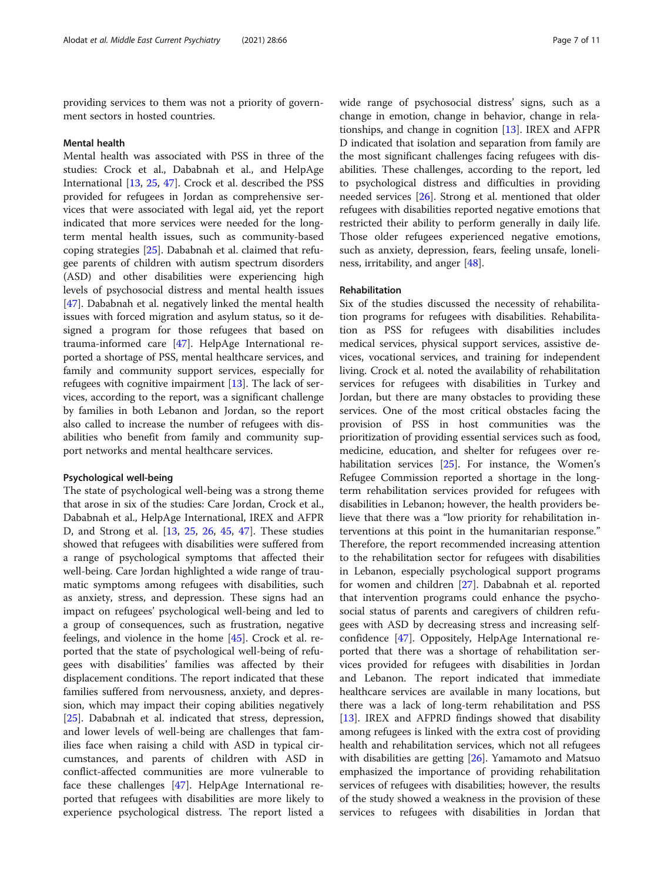providing services to them was not a priority of government sectors in hosted countries.

#### Mental health

Mental health was associated with PSS in three of the studies: Crock et al., Dababnah et al., and HelpAge International [\[13,](#page-10-0) [25](#page-10-0), [47\]](#page-10-0). Crock et al. described the PSS provided for refugees in Jordan as comprehensive services that were associated with legal aid, yet the report indicated that more services were needed for the longterm mental health issues, such as community-based coping strategies [\[25](#page-10-0)]. Dababnah et al. claimed that refugee parents of children with autism spectrum disorders (ASD) and other disabilities were experiencing high levels of psychosocial distress and mental health issues [[47\]](#page-10-0). Dababnah et al. negatively linked the mental health issues with forced migration and asylum status, so it designed a program for those refugees that based on trauma-informed care [\[47\]](#page-10-0). HelpAge International reported a shortage of PSS, mental healthcare services, and family and community support services, especially for refugees with cognitive impairment [[13](#page-10-0)]. The lack of services, according to the report, was a significant challenge by families in both Lebanon and Jordan, so the report also called to increase the number of refugees with disabilities who benefit from family and community support networks and mental healthcare services.

#### Psychological well-being

The state of psychological well-being was a strong theme that arose in six of the studies: Care Jordan, Crock et al., Dababnah et al., HelpAge International, IREX and AFPR D, and Strong et al. [\[13](#page-10-0), [25](#page-10-0), [26,](#page-10-0) [45,](#page-10-0) [47](#page-10-0)]. These studies showed that refugees with disabilities were suffered from a range of psychological symptoms that affected their well-being. Care Jordan highlighted a wide range of traumatic symptoms among refugees with disabilities, such as anxiety, stress, and depression. These signs had an impact on refugees' psychological well-being and led to a group of consequences, such as frustration, negative feelings, and violence in the home [\[45](#page-10-0)]. Crock et al. reported that the state of psychological well-being of refugees with disabilities' families was affected by their displacement conditions. The report indicated that these families suffered from nervousness, anxiety, and depression, which may impact their coping abilities negatively [[25\]](#page-10-0). Dababnah et al. indicated that stress, depression, and lower levels of well-being are challenges that families face when raising a child with ASD in typical circumstances, and parents of children with ASD in conflict-affected communities are more vulnerable to face these challenges [[47\]](#page-10-0). HelpAge International reported that refugees with disabilities are more likely to experience psychological distress. The report listed a wide range of psychosocial distress' signs, such as a change in emotion, change in behavior, change in relationships, and change in cognition [\[13](#page-10-0)]. IREX and AFPR D indicated that isolation and separation from family are the most significant challenges facing refugees with disabilities. These challenges, according to the report, led to psychological distress and difficulties in providing needed services [\[26\]](#page-10-0). Strong et al. mentioned that older refugees with disabilities reported negative emotions that restricted their ability to perform generally in daily life. Those older refugees experienced negative emotions, such as anxiety, depression, fears, feeling unsafe, loneliness, irritability, and anger [\[48](#page-10-0)].

#### Rehabilitation

Six of the studies discussed the necessity of rehabilitation programs for refugees with disabilities. Rehabilitation as PSS for refugees with disabilities includes medical services, physical support services, assistive devices, vocational services, and training for independent living. Crock et al. noted the availability of rehabilitation services for refugees with disabilities in Turkey and Jordan, but there are many obstacles to providing these services. One of the most critical obstacles facing the provision of PSS in host communities was the prioritization of providing essential services such as food, medicine, education, and shelter for refugees over rehabilitation services [[25\]](#page-10-0). For instance, the Women's Refugee Commission reported a shortage in the longterm rehabilitation services provided for refugees with disabilities in Lebanon; however, the health providers believe that there was a "low priority for rehabilitation interventions at this point in the humanitarian response." Therefore, the report recommended increasing attention to the rehabilitation sector for refugees with disabilities in Lebanon, especially psychological support programs for women and children [\[27](#page-10-0)]. Dababnah et al. reported that intervention programs could enhance the psychosocial status of parents and caregivers of children refugees with ASD by decreasing stress and increasing selfconfidence [[47\]](#page-10-0). Oppositely, HelpAge International reported that there was a shortage of rehabilitation services provided for refugees with disabilities in Jordan and Lebanon. The report indicated that immediate healthcare services are available in many locations, but there was a lack of long-term rehabilitation and PSS [[13\]](#page-10-0). IREX and AFPRD findings showed that disability among refugees is linked with the extra cost of providing health and rehabilitation services, which not all refugees with disabilities are getting [[26](#page-10-0)]. Yamamoto and Matsuo emphasized the importance of providing rehabilitation services of refugees with disabilities; however, the results of the study showed a weakness in the provision of these services to refugees with disabilities in Jordan that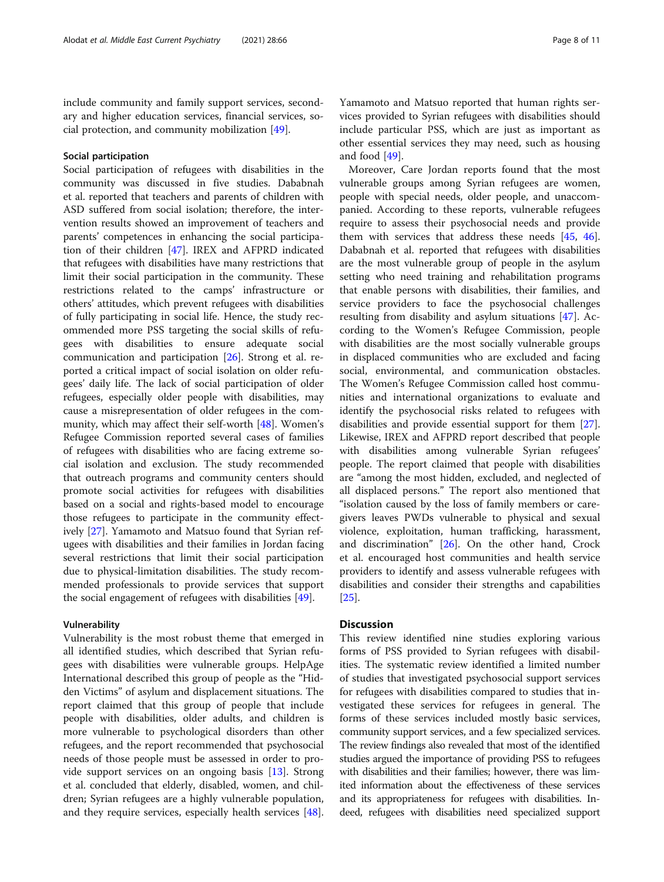include community and family support services, secondary and higher education services, financial services, social protection, and community mobilization [[49](#page-10-0)].

#### Social participation

Social participation of refugees with disabilities in the community was discussed in five studies. Dababnah et al. reported that teachers and parents of children with ASD suffered from social isolation; therefore, the intervention results showed an improvement of teachers and parents' competences in enhancing the social participation of their children [[47\]](#page-10-0). IREX and AFPRD indicated that refugees with disabilities have many restrictions that limit their social participation in the community. These restrictions related to the camps' infrastructure or others' attitudes, which prevent refugees with disabilities of fully participating in social life. Hence, the study recommended more PSS targeting the social skills of refugees with disabilities to ensure adequate social communication and participation [\[26](#page-10-0)]. Strong et al. reported a critical impact of social isolation on older refugees' daily life. The lack of social participation of older refugees, especially older people with disabilities, may cause a misrepresentation of older refugees in the community, which may affect their self-worth [[48](#page-10-0)]. Women's Refugee Commission reported several cases of families of refugees with disabilities who are facing extreme social isolation and exclusion. The study recommended that outreach programs and community centers should promote social activities for refugees with disabilities based on a social and rights-based model to encourage those refugees to participate in the community effectively [[27](#page-10-0)]. Yamamoto and Matsuo found that Syrian refugees with disabilities and their families in Jordan facing several restrictions that limit their social participation due to physical-limitation disabilities. The study recommended professionals to provide services that support the social engagement of refugees with disabilities [\[49](#page-10-0)].

#### Vulnerability

Vulnerability is the most robust theme that emerged in all identified studies, which described that Syrian refugees with disabilities were vulnerable groups. HelpAge International described this group of people as the "Hidden Victims" of asylum and displacement situations. The report claimed that this group of people that include people with disabilities, older adults, and children is more vulnerable to psychological disorders than other refugees, and the report recommended that psychosocial needs of those people must be assessed in order to provide support services on an ongoing basis [[13\]](#page-10-0). Strong et al. concluded that elderly, disabled, women, and children; Syrian refugees are a highly vulnerable population, and they require services, especially health services [\[48](#page-10-0)].

Yamamoto and Matsuo reported that human rights services provided to Syrian refugees with disabilities should include particular PSS, which are just as important as other essential services they may need, such as housing and food [\[49\]](#page-10-0).

Moreover, Care Jordan reports found that the most vulnerable groups among Syrian refugees are women, people with special needs, older people, and unaccompanied. According to these reports, vulnerable refugees require to assess their psychosocial needs and provide them with services that address these needs [\[45](#page-10-0), [46](#page-10-0)]. Dababnah et al. reported that refugees with disabilities are the most vulnerable group of people in the asylum setting who need training and rehabilitation programs that enable persons with disabilities, their families, and service providers to face the psychosocial challenges resulting from disability and asylum situations [[47\]](#page-10-0). According to the Women's Refugee Commission, people with disabilities are the most socially vulnerable groups in displaced communities who are excluded and facing social, environmental, and communication obstacles. The Women's Refugee Commission called host communities and international organizations to evaluate and identify the psychosocial risks related to refugees with disabilities and provide essential support for them [\[27](#page-10-0)]. Likewise, IREX and AFPRD report described that people with disabilities among vulnerable Syrian refugees' people. The report claimed that people with disabilities are "among the most hidden, excluded, and neglected of all displaced persons." The report also mentioned that "isolation caused by the loss of family members or caregivers leaves PWDs vulnerable to physical and sexual violence, exploitation, human trafficking, harassment, and discrimination" [[26\]](#page-10-0). On the other hand, Crock et al. encouraged host communities and health service providers to identify and assess vulnerable refugees with disabilities and consider their strengths and capabilities [[25\]](#page-10-0).

#### **Discussion**

This review identified nine studies exploring various forms of PSS provided to Syrian refugees with disabilities. The systematic review identified a limited number of studies that investigated psychosocial support services for refugees with disabilities compared to studies that investigated these services for refugees in general. The forms of these services included mostly basic services, community support services, and a few specialized services. The review findings also revealed that most of the identified studies argued the importance of providing PSS to refugees with disabilities and their families; however, there was limited information about the effectiveness of these services and its appropriateness for refugees with disabilities. Indeed, refugees with disabilities need specialized support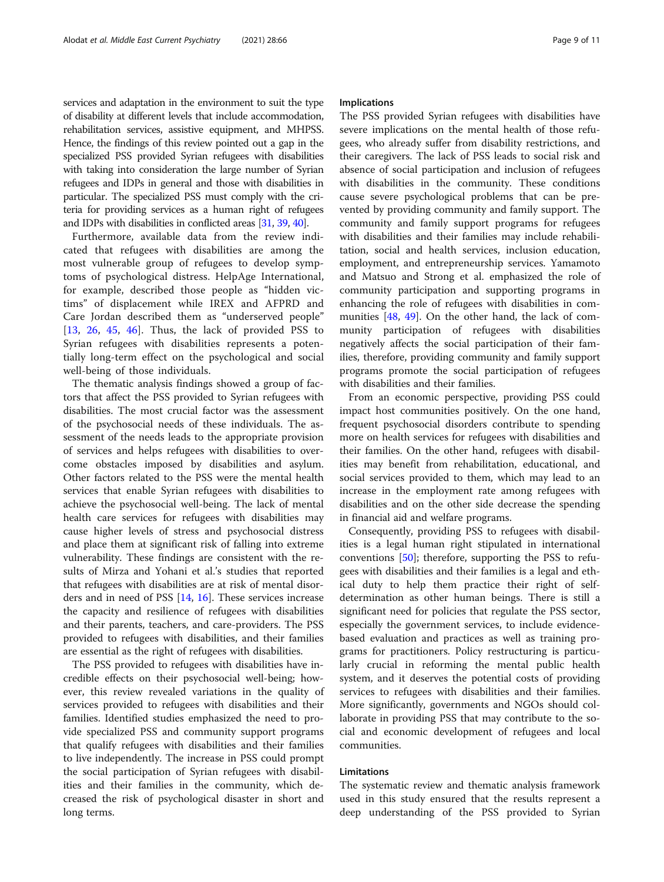services and adaptation in the environment to suit the type of disability at different levels that include accommodation, rehabilitation services, assistive equipment, and MHPSS. Hence, the findings of this review pointed out a gap in the specialized PSS provided Syrian refugees with disabilities with taking into consideration the large number of Syrian refugees and IDPs in general and those with disabilities in particular. The specialized PSS must comply with the criteria for providing services as a human right of refugees and IDPs with disabilities in conflicted areas [[31](#page-10-0), [39](#page-10-0), [40](#page-10-0)].

Furthermore, available data from the review indicated that refugees with disabilities are among the most vulnerable group of refugees to develop symptoms of psychological distress. HelpAge International, for example, described those people as "hidden victims" of displacement while IREX and AFPRD and Care Jordan described them as "underserved people" [[13,](#page-10-0) [26,](#page-10-0) [45,](#page-10-0) [46](#page-10-0)]. Thus, the lack of provided PSS to Syrian refugees with disabilities represents a potentially long-term effect on the psychological and social well-being of those individuals.

The thematic analysis findings showed a group of factors that affect the PSS provided to Syrian refugees with disabilities. The most crucial factor was the assessment of the psychosocial needs of these individuals. The assessment of the needs leads to the appropriate provision of services and helps refugees with disabilities to overcome obstacles imposed by disabilities and asylum. Other factors related to the PSS were the mental health services that enable Syrian refugees with disabilities to achieve the psychosocial well-being. The lack of mental health care services for refugees with disabilities may cause higher levels of stress and psychosocial distress and place them at significant risk of falling into extreme vulnerability. These findings are consistent with the results of Mirza and Yohani et al.'s studies that reported that refugees with disabilities are at risk of mental disorders and in need of PSS [[14,](#page-10-0) [16\]](#page-10-0). These services increase the capacity and resilience of refugees with disabilities and their parents, teachers, and care-providers. The PSS provided to refugees with disabilities, and their families are essential as the right of refugees with disabilities.

The PSS provided to refugees with disabilities have incredible effects on their psychosocial well-being; however, this review revealed variations in the quality of services provided to refugees with disabilities and their families. Identified studies emphasized the need to provide specialized PSS and community support programs that qualify refugees with disabilities and their families to live independently. The increase in PSS could prompt the social participation of Syrian refugees with disabilities and their families in the community, which decreased the risk of psychological disaster in short and long terms.

#### Implications

The PSS provided Syrian refugees with disabilities have severe implications on the mental health of those refugees, who already suffer from disability restrictions, and their caregivers. The lack of PSS leads to social risk and absence of social participation and inclusion of refugees with disabilities in the community. These conditions cause severe psychological problems that can be prevented by providing community and family support. The community and family support programs for refugees with disabilities and their families may include rehabilitation, social and health services, inclusion education, employment, and entrepreneurship services. Yamamoto and Matsuo and Strong et al. emphasized the role of community participation and supporting programs in enhancing the role of refugees with disabilities in communities [\[48](#page-10-0), [49\]](#page-10-0). On the other hand, the lack of community participation of refugees with disabilities negatively affects the social participation of their families, therefore, providing community and family support programs promote the social participation of refugees with disabilities and their families.

From an economic perspective, providing PSS could impact host communities positively. On the one hand, frequent psychosocial disorders contribute to spending more on health services for refugees with disabilities and their families. On the other hand, refugees with disabilities may benefit from rehabilitation, educational, and social services provided to them, which may lead to an increase in the employment rate among refugees with disabilities and on the other side decrease the spending in financial aid and welfare programs.

Consequently, providing PSS to refugees with disabilities is a legal human right stipulated in international conventions  $[50]$  $[50]$ ; therefore, supporting the PSS to refugees with disabilities and their families is a legal and ethical duty to help them practice their right of selfdetermination as other human beings. There is still a significant need for policies that regulate the PSS sector, especially the government services, to include evidencebased evaluation and practices as well as training programs for practitioners. Policy restructuring is particularly crucial in reforming the mental public health system, and it deserves the potential costs of providing services to refugees with disabilities and their families. More significantly, governments and NGOs should collaborate in providing PSS that may contribute to the social and economic development of refugees and local communities.

#### Limitations

The systematic review and thematic analysis framework used in this study ensured that the results represent a deep understanding of the PSS provided to Syrian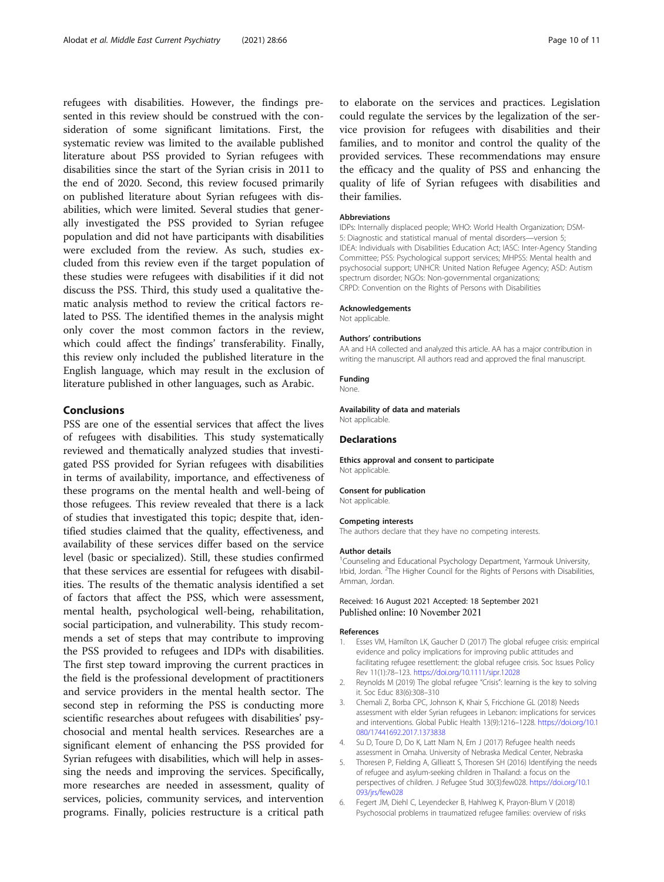<span id="page-9-0"></span>refugees with disabilities. However, the findings presented in this review should be construed with the consideration of some significant limitations. First, the systematic review was limited to the available published literature about PSS provided to Syrian refugees with disabilities since the start of the Syrian crisis in 2011 to the end of 2020. Second, this review focused primarily on published literature about Syrian refugees with disabilities, which were limited. Several studies that generally investigated the PSS provided to Syrian refugee population and did not have participants with disabilities were excluded from the review. As such, studies excluded from this review even if the target population of these studies were refugees with disabilities if it did not discuss the PSS. Third, this study used a qualitative thematic analysis method to review the critical factors related to PSS. The identified themes in the analysis might only cover the most common factors in the review, which could affect the findings' transferability. Finally, this review only included the published literature in the English language, which may result in the exclusion of literature published in other languages, such as Arabic.

#### Conclusions

PSS are one of the essential services that affect the lives of refugees with disabilities. This study systematically reviewed and thematically analyzed studies that investigated PSS provided for Syrian refugees with disabilities in terms of availability, importance, and effectiveness of these programs on the mental health and well-being of those refugees. This review revealed that there is a lack of studies that investigated this topic; despite that, identified studies claimed that the quality, effectiveness, and availability of these services differ based on the service level (basic or specialized). Still, these studies confirmed that these services are essential for refugees with disabilities. The results of the thematic analysis identified a set of factors that affect the PSS, which were assessment, mental health, psychological well-being, rehabilitation, social participation, and vulnerability. This study recommends a set of steps that may contribute to improving the PSS provided to refugees and IDPs with disabilities. The first step toward improving the current practices in the field is the professional development of practitioners and service providers in the mental health sector. The second step in reforming the PSS is conducting more scientific researches about refugees with disabilities' psychosocial and mental health services. Researches are a significant element of enhancing the PSS provided for Syrian refugees with disabilities, which will help in assessing the needs and improving the services. Specifically, more researches are needed in assessment, quality of services, policies, community services, and intervention programs. Finally, policies restructure is a critical path to elaborate on the services and practices. Legislation could regulate the services by the legalization of the service provision for refugees with disabilities and their families, and to monitor and control the quality of the provided services. These recommendations may ensure the efficacy and the quality of PSS and enhancing the quality of life of Syrian refugees with disabilities and their families.

#### Abbreviations

IDPs: Internally displaced people; WHO: World Health Organization; DSM-5: Diagnostic and statistical manual of mental disorders—version 5; IDEA: Individuals with Disabilities Education Act; IASC: Inter-Agency Standing Committee; PSS: Psychological support services; MHPSS: Mental health and psychosocial support; UNHCR: United Nation Refugee Agency; ASD: Autism spectrum disorder; NGOs: Non-governmental organizations; CRPD: Convention on the Rights of Persons with Disabilities

#### Acknowledgements

Not applicable.

#### Authors' contributions

AA and HA collected and analyzed this article. AA has a major contribution in writing the manuscript. All authors read and approved the final manuscript.

#### Funding

None.

Availability of data and materials Not applicable.

#### Declarations

Ethics approval and consent to participate Not applicable.

#### Consent for publication

Not applicable.

#### Competing interests

The authors declare that they have no competing interests.

#### Author details

<sup>1</sup> Counseling and Educational Psychology Department, Yarmouk University Irbid, Jordan. <sup>2</sup>The Higher Council for the Rights of Persons with Disabilities, Amman, Jordan.

# Received: 16 August 2021 Accepted: 18 September 2021

#### References

- 1. Esses VM, Hamilton LK, Gaucher D (2017) The global refugee crisis: empirical evidence and policy implications for improving public attitudes and facilitating refugee resettlement: the global refugee crisis. Soc Issues Policy Rev 11(1):78–123. <https://doi.org/10.1111/sipr.12028>
- 2. Reynolds M (2019) The global refugee "Crisis": learning is the key to solving it. Soc Educ 83(6):308–310
- 3. Chemali Z, Borba CPC, Johnson K, Khair S, Fricchione GL (2018) Needs assessment with elder Syrian refugees in Lebanon: implications for services and interventions. Global Public Health 13(9):1216–1228. [https://doi.org/10.1](https://doi.org/10.1080/17441692.2017.1373838) [080/17441692.2017.1373838](https://doi.org/10.1080/17441692.2017.1373838)
- 4. Su D, Toure D, Do K, Latt Nlam N, Ern J (2017) Refugee health needs assessment in Omaha. University of Nebraska Medical Center, Nebraska
- 5. Thoresen P, Fielding A, Gillieatt S, Thoresen SH (2016) Identifying the needs of refugee and asylum-seeking children in Thailand: a focus on the perspectives of children. J Refugee Stud 30(3):few028. [https://doi.org/10.1](https://doi.org/10.1093/jrs/few028) [093/jrs/few028](https://doi.org/10.1093/jrs/few028)
- 6. Fegert JM, Diehl C, Leyendecker B, Hahlweg K, Prayon-Blum V (2018) Psychosocial problems in traumatized refugee families: overview of risks